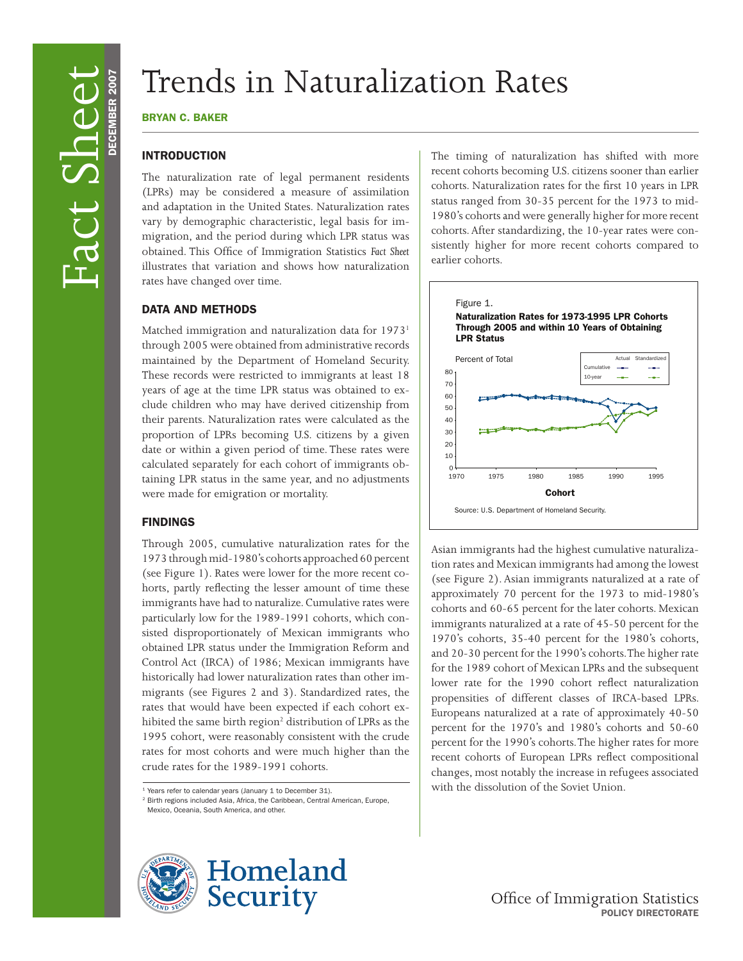# Trends in Naturalization Rates

#### bryan c. baker

## **INTRODUCTION**

The naturalization rate of legal permanent residents (LPRs) may be considered a measure of assimilation and adaptation in the United States. Naturalization rates vary by demographic characteristic, legal basis for immigration, and the period during which LPR status was obtained. This Office of Immigration Statistics *Fact Sheet*  illustrates that variation and shows how naturalization rates have changed over time.

#### data and Methods

Matched immigration and naturalization data for 1973<sup>1</sup> through 2005 were obtained from administrative records maintained by the Department of Homeland Security. These records were restricted to immigrants at least 18 years of age at the time LPR status was obtained to exclude children who may have derived citizenship from their parents. Naturalization rates were calculated as the proportion of LPRs becoming U.S. citizens by a given date or within a given period of time. These rates were calculated separately for each cohort of immigrants obtaining LPR status in the same year, and no adjustments were made for emigration or mortality.

#### **FINDINGS**

hibited the same birth region<sup>2</sup> distribution of LPRs as the Through 2005, cumulative naturalization rates for the 1973 through mid-1980's cohorts approached 60 percent (see Figure 1). Rates were lower for the more recent cohorts, partly reflecting the lesser amount of time these immigrants have had to naturalize. Cumulative rates were particularly low for the 1989-1991 cohorts, which consisted disproportionately of Mexican immigrants who obtained LPR status under the Immigration Reform and Control Act (IRCA) of 1986; Mexican immigrants have historically had lower naturalization rates than other immigrants (see Figures 2 and 3). Standardized rates, the rates that would have been expected if each cohort ex-1995 cohort, were reasonably consistent with the crude rates for most cohorts and were much higher than the crude rates for the 1989-1991 cohorts.

<sup>1</sup> Years refer to calendar years (January 1 to December 31). <sup>2</sup> Birth regions included Asia, Africa, the Caribbean, Central American, Europe, Mexico, Oceania, South America, and other.



The timing of naturalization has shifted with more recent cohorts becoming U.S. citizens sooner than earlier cohorts. Naturalization rates for the first 10 years in LPR status ranged from 30-35 percent for the 1973 to mid-1980's cohorts and were generally higher for more recent cohorts. After standardizing, the 10-year rates were consistently higher for more recent cohorts compared to earlier cohorts.



Asian immigrants had the highest cumulative naturalization rates and Mexican immigrants had among the lowest (see Figure 2). Asian immigrants naturalized at a rate of approximately 70 percent for the 1973 to mid-1980's cohorts and 60-65 percent for the later cohorts. Mexican immigrants naturalized at a rate of 45-50 percent for the 1970's cohorts, 35-40 percent for the 1980's cohorts, and 20-30 percent for the 1990's cohorts.The higher rate for the 1989 cohort of Mexican LPRs and the subsequent lower rate for the 1990 cohort reflect naturalization propensities of different classes of IRCA-based LPRs. Europeans naturalized at a rate of approximately 40-50 percent for the 1970's and 1980's cohorts and 50-60 percent for the 1990's cohorts. The higher rates for more recent cohorts of European LPRs reflect compositional changes, most notably the increase in refugees associated with the dissolution of the Soviet Union.